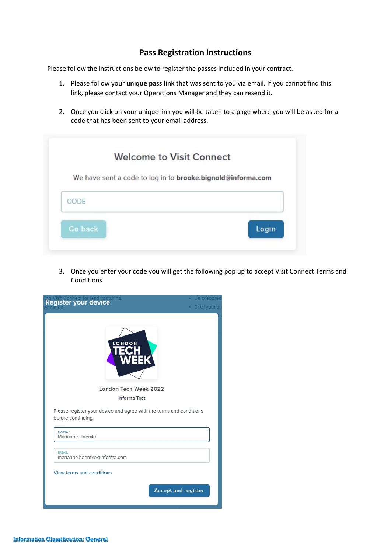## **Pass Registration Instructions**

Please follow the instructions below to register the passes included in your contract.

- 1. Please follow your **unique pass link** that was sent to you via email. If you cannot find this link, please contact your Operations Manager and they can resend it.
- 2. Once you click on your unique link you will be taken to a page where you will be asked for a code that has been sent to your email address.

|                | <b>Welcome to Visit Connect</b>                             |
|----------------|-------------------------------------------------------------|
|                | We have sent a code to log in to brooke.bignold@informa.com |
| CODE           |                                                             |
|                |                                                             |
| <b>Go back</b> | Login                                                       |

3. Once you enter your code you will get the following pop up to accept Visit Connect Terms and Conditions

| Be prepared<br>Register your device<br>• Brief your sta                                   |
|-------------------------------------------------------------------------------------------|
| London Tech Week 2022                                                                     |
| <b>Informa Test</b>                                                                       |
| Please register your device and agree with the terms and conditions<br>before continuing. |
| NAME <sup>*</sup><br>Marianne Hoemke                                                      |
| <b>FMAIL</b><br>marianne.hoemke@informa.com                                               |
| <b>View terms and conditions</b>                                                          |
| <b>Accept and register</b>                                                                |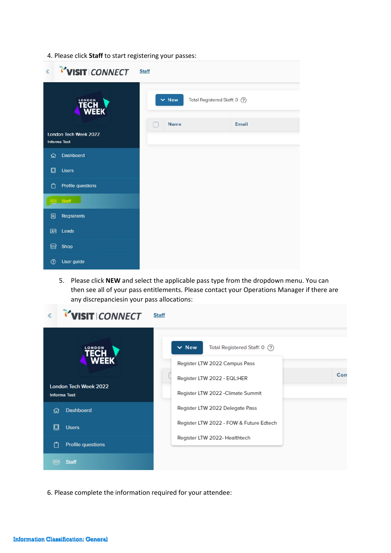4. Please click **Staff** to start registering your passes:

| <b>VISIT CONNECT</b>                         | <b>Staff</b>                                |
|----------------------------------------------|---------------------------------------------|
| <b>TECH<br/>WEEK</b>                         | $\vee$ New<br>Total Registered Staff: 0 (?) |
| London Tech Week 2022<br><b>Informa Test</b> | <b>Name</b><br>Email                        |
| Dashboard<br>⋒                               |                                             |
| 回<br><b>Users</b>                            |                                             |
| Profile questions<br>M                       |                                             |
| as Staff                                     |                                             |
| 图<br>Registrants                             |                                             |
| Leads<br>图                                   |                                             |
| Shop<br>क़                                   |                                             |
| $^{\circledR}$<br>User guide                 |                                             |

5. Please click **NEW** and select the applicable pass type from the dropdown menu. You can then see all of your pass entitlements. Please contact your Operations Manager if there are any discrepanciesin your pass allocations:

| VISIT CONNECT<br>$\ll$                              | <b>Staff</b>                                |
|-----------------------------------------------------|---------------------------------------------|
| <b>TECH</b>                                         | $\vee$ New<br>Total Registered Staff: 0 (?) |
| <b>WEEK</b>                                         | Register LTW 2022 Campus Pass               |
|                                                     | Con<br>Register LTW 2022 - EQL:HER          |
| <b>London Tech Week 2022</b><br><b>Informa Test</b> | Register LTW 2022 - Climate Summit          |
| <b>Dashboard</b><br>1ብ                              | Register LTW 2022 Delegate Pass             |
| 回<br><b>Users</b>                                   | Register LTW 2022 - FOW & Future Edtech     |
| <b>Profile questions</b>                            | Register LTW 2022- Healthtech               |
| <b>Staff</b>                                        |                                             |

6. Please complete the information required for your attendee: